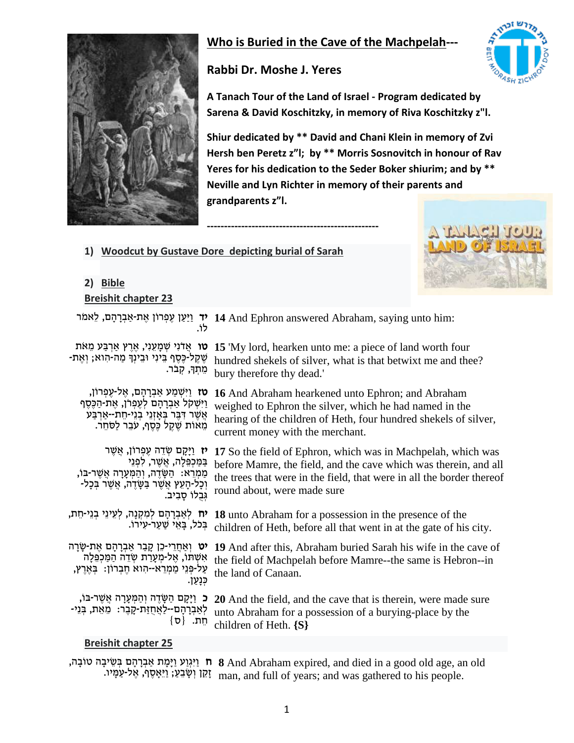

# **Who is Buried in the Cave of the Machpelah---**

# **Rabbi Dr. Moshe J. Yeres**

**--------------------------------------------------**



**A Tanach Tour of the Land of Israel - Program dedicated by Sarena & David Koschitzky, in memory of Riva Koschitzky z"l.**

**Shiur dedicated by \*\* David and Chani Klein in memory of Zvi Hersh ben Peretz z"l; by \*\* Morris Sosnovitch in honour of Rav Yeres for his dedication to the Seder Boker shiurim; and by \*\* Neville and Lyn Richter in memory of their parents and grandparents z"l.**

**1) Woodcut by Gustave Dore depicting burial of Sarah**



#### **2) Bible Breishit chapter 23**

|                                                                                                                                                                                                     | יד וַיַּעַן עֶפְרוֹן אֶת-אַבְרָהָם, לַאמֹר 14 And Ephron answered Abraham, saying unto him:                                                                                                                                              |
|-----------------------------------------------------------------------------------------------------------------------------------------------------------------------------------------------------|------------------------------------------------------------------------------------------------------------------------------------------------------------------------------------------------------------------------------------------|
| ָטו אֲדֹנִי שְׁמָעֵנִי, אֶרֶץ אַרְבַּע מֵאֹת<br>ּשֶׁקֶל-כֶּסֶף בֵּינִי וּבֵינְךָּ מַה-הִוא; וְאֵת-<br>מִתְךָ, קִבֹר.                                                                                | 15 'My lord, hearken unto me: a piece of land worth four<br>hundred shekels of silver, what is that betwixt me and thee?<br>bury therefore thy dead.'                                                                                    |
| ָטז וַיִּשְׁמַע אַבְרָהָם, אֱל-עֶפְרוֹן,<br>וַיִּשְׁקל אַבְרָהָם לְעֶפְרֹן, אֶת-הַכֶּסֶף<br>אֲשֶׁר דִּבֶּר בְּאָזְנֵי בְנֵי-חֵת--אַרְבַּע<br>מֵאוֹת שֶׁקֵל כֶּסֶף, עֹבֵר לַסֹּחֵר.                  | 16 And Abraham hearkened unto Ephron; and Abraham<br>weighed to Ephron the silver, which he had named in the<br>hearing of the children of Heth, four hundred shekels of silver,<br>current money with the merchant.                     |
| <b>יז</b> וַיָּקָם שְׂדֵה עֶפְרוֹן, אֲשֶׁר<br>בַמַּכְפֵּלָה, אֲשֶׁר, לִפְנֵי<br>ַמַמְרֵא: הַשָּׂדֶה, וְהַמְּעָרָה אֲשֶׁר-בּוֹ,<br>וְכָל-הָעֵץ אֲשֶׁר בַּשָּׂדֶה, אֲשֶׁר בְּכָל-<br>גִּבְלוֹ סַבְיב. | 17 So the field of Ephron, which was in Machpelah, which was<br>before Mamre, the field, and the cave which was therein, and all<br>the trees that were in the field, that were in all the border thereof<br>round about, were made sure |
| <b>יח</b> לְאַבְרָהָם לְמִקְנָה, לְעֵינֵי בְנֵי-חֵת,<br>בִּכֹל, בַּאֵי שַׁעֲר-עִירוֹ.                                                                                                               | 18 unto Abraham for a possession in the presence of the<br>children of Heth, before all that went in at the gate of his city.                                                                                                            |
| יט וְאַחֲרֵי-כֵן קָבַר אַבְרָהָם אֶת-שָׂרָה<br>אִשְׁתוּ, אֵל-מִעָרַת שְׂדֵה הַמַּכְפֵּלָה<br>עַל-פְּנֵי מַמְרֵא--הִוא חֶבְרוֹן: בְּאֶרֶץ,<br>כִּנְעַן.                                              | 19 And after this, Abraham buried Sarah his wife in the cave of<br>the field of Machpelah before Mamre--the same is Hebron--in<br>the land of Canaan.                                                                                    |
| כ וַיָּקָם הַשָּׂדֶה וְהַמְּעָרָה אֲשֶׁר-בּוֹ,<br>לְאַבְרָהָם--לַאֲחֻזַּת-קָבֶר: מֵאֵת, בְּנֵי-<br>חֵת. {ס}                                                                                         | 20 And the field, and the cave that is therein, were made sure<br>unto Abraham for a possession of a burying-place by the<br>children of Heth. $\{S\}$                                                                                   |
| <b>Breishit chapter 25</b>                                                                                                                                                                          |                                                                                                                                                                                                                                          |

ית וַיִּגְוַע וַיָּמָת אַבְרָהָם בְּשֵׂיבָה טוֹבָה, 8 And Abraham expired, and died in a good old age, an old זָקֵו וְשָׂבֵעָ; וַיֵּאָסֶף, אֶל-עַמָּיו. man, and full of years; and was gathered to his people.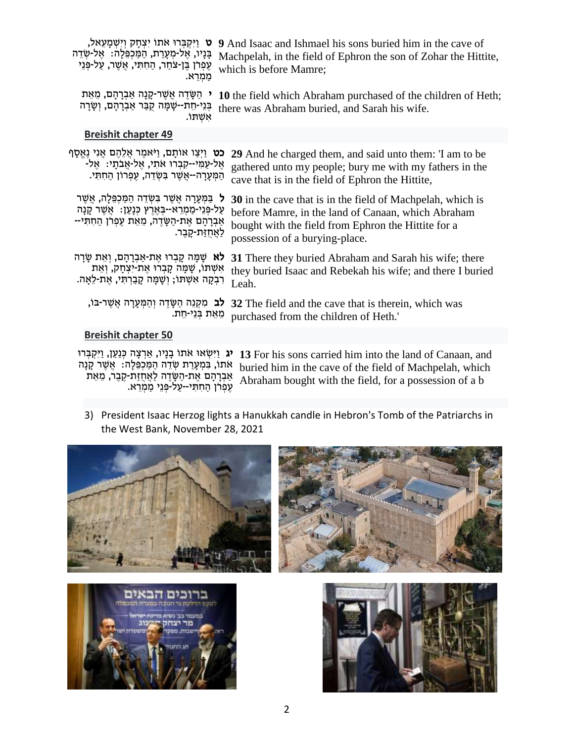| which is before Mamre; עִפְרֹן בֶּן-צֹחַר, הַחִתְּי, אֲשֶׁר, עַל-פַּנֵי | יקבּרוּ אתוֹ יִצְחָק וְיִשְׁמָעֵאל, עַרְחָם 9 And Isaac and Ishmael his sons buried him in the cave of                                                   |
|-------------------------------------------------------------------------|----------------------------------------------------------------------------------------------------------------------------------------------------------|
| ממרא.                                                                   | ּבָּנָיו, אֶל-מְעָרַת, הַמַּכְפֵּלָה: אֶל-שְׁדֵה Machpelah, in the field of Ephron the son of Zohar the Hittite,                                         |
| אשתו.                                                                   | י הַשָּׂדֶה אֲשֶׁר-קָנָה אַבְרָהָם, מֵאֵת 10 the field which Abraham purchased of the children of Heth;<br>there was Abraham buried, and Sarah his wife. |

#### **Breishit chapter 49**

כט וַיְצַ ו אוֹתָ ם, וַיֹאמֶ ר אֲ לֵהֶ ם אֲ נִי נֶאֱסָ ף **29** And he charged them, and said unto them: 'I am to be ּאֶל-עַמִּי--קִבְרוּ אֹתִי, אֱל-אֲבֹתָי: אֶל-הַמְּעָרָה--אֲשֶׁר בִּשְׂדֵה, עֵפְרוֹן הַחִתִּי. gathered unto my people; bury me with my fathers in the cave that is in the field of Ephron the Hittite,

ל בִּמְעָרה אַשָׁר בַּשִׂדה הַמֵּכִפְּלָה, אַשָׁר עַל-פְּנֵי-מַמְרָא--בְּאָרִץ כִּנַעַן: אֲשֶׁר קַנַה ַ אַבְרָהָם אֶת-הַשֶּׂדֶה, מֵאֵת עֵפְרֹן הַחִתְּי--לַאַחזַת-קַבֶר. **30** in the cave that is in the field of Machpelah, which is before Mamre, in the land of Canaan, which Abraham bought with the field from Ephron the Hittite for a possession of a burying-place.

לא שָׁמָּה קָבְרוּ אֶת-אַבְרָהָם, וְאֵת שָׂרָה אִשָׁתוֹ, שָׁמָּה קָבְרוּ אֵת-יִצְחָק, וְאֵת ּרִבְקָה אִשְׁתּוֹ; וְשָׁמָּה קָבַרְתִּי, אֶת-לֵאָה. **31** There they buried Abraham and Sarah his wife; there they buried Isaac and Rebekah his wife; and there I buried Leah.

לב מִקְנֵה הַשֶּׂדָה וְהַמְעָרָה אֲשֶׁר-בּוֹ, מִאֵת בִּנְי-חֵת. **32** The field and the cave that is therein, which was purchased from the children of Heth.'

#### **Breishit chapter 50**

אֹתוֹ, בִּמְעָרַת שָׂדֵה הַמַּכְפֵּלָה: אֲשֶׁר קָנָה ַ אֲבְרָהָם אֶת-הַשָּׂדֶה לַאֲחֻזַת-קֶבֶר, מֵאֵת עִפְרֹן הַחִתְּי--עַל-פְּנֵי מַמְרֵא.

יג וַיִּשְׂאוּ אֹתוֹ בָנָיו, אַרְצָה כְּנַעַן, וַיִּקְבְּרוּ **13** For his sons carried him into the land of Canaan, and buried him in the cave of the field of Machpelah, which Abraham bought with the field, for a possession of a b

3) President Isaac Herzog lights a Hanukkah candle in Hebron's Tomb of the Patriarchs in the West Bank, November 28, 2021







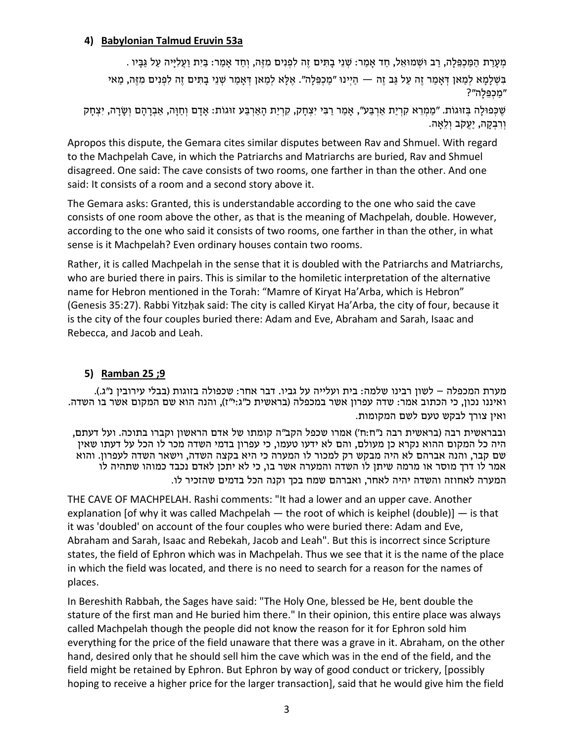#### **4) Babylonian Talmud Eruvin 53a**

. מְעָרַת הַמַּכְפֵּלָה, רַב וּשָׁמוּאֵל, חַד אַמַר: שְׁנֵי בָתִּים זֶה לִפְנִים מְזֶה, וְחַד אַמַר: בַּיִת וַעֲלִיֵיה עַל גַּבָּיו בְּשָׁלַמַא לְמַאן דְּאַמַר זֶה עַל גַּב זֶה — הַיִּינוּ "מַכְפֵּלָה". אֵלָא לִמַאן דְּאַמַר שְׁנֵי בָתִּים זֶה לִפְנִים מְזֶה, מֵאי ״מכפּלה״?

```
ְשֶׁ כְּפוּלָה בְּזוּגוֹת. "מַמְרֵא קִרְיַת אַרְבַּע", אָמַר רַבִּי יִצְחָק, קִרְיַת הָאַרְבַּע זוּגוֹת: אָדָם וְחַוָּה, אַבְרָהָם וְשָׂרָה, יִצְחָק
                                                                                                            וְרִבְקָה, יַעֲקֹב וְלֵאֲה.
```
Apropos this dispute, the Gemara cites similar disputes between Rav and Shmuel. With regard to the Machpelah Cave, in which the Patriarchs and Matriarchs are buried, Rav and Shmuel disagreed. One said: The cave consists of two rooms, one farther in than the other. And one said: It consists of a room and a second story above it.

The Gemara asks: Granted, this is understandable according to the one who said the cave consists of one room above the other, as that is the meaning of Machpelah, double. However, according to the one who said it consists of two rooms, one farther in than the other, in what sense is it Machpelah? Even ordinary houses contain two rooms.

Rather, it is called Machpelah in the sense that it is doubled with the Patriarchs and Matriarchs, who are buried there in pairs. This is similar to the homiletic interpretation of the alternative name for Hebron mentioned in the Torah: "Mamre of Kiryat Ha'Arba, which is Hebron" (Genesis 35:27). Rabbi Yitzḥak said: The city is called Kiryat Ha'Arba, the city of four, because it is the city of the four couples buried there: Adam and Eve, Abraham and Sarah, Isaac and Rebecca, and Jacob and Leah.

### **5) Ramban 25 ;9**

מערת המכפלה – לשון רבינו שלמה: בית ועלייה על גביו. דבר אחר: שכפולה בזוגות (בבלי עירובין נ"ג.). ואיננו נכון, כי הכתוב אמר: שדה עפרון אשר במכפלה (בראשית כ"ג:י"ז), והנה הוא שם המקום אשר בו השדה. ואין צורך לבקש טעם לשם המקומות.

ובבראשית רבה (בראשית רבה נ"ח:ח') אמרו שכפל הקב"ה קומתו של אדם הראשון וקברו בתוכה. ועל דעתם, היה כל המקום ההוא נקרא כן מעולם, והם לא ידעו טעמו, כי עפרון בדמי השדה מכר לו הכל על דעתו שאין שם קבר, והנה אברהם לא היה מבקש רק למכור לו המערה כי היא בקצה השדה, וישאר השדה לעפרון. והוא אמר לו דרך מוסר או מרמה שיתן לו השדה והמערה אשר בו, כי לא יתכן לאדם נכבד כמוהו שתהיה לו המערה לאחוזה והשדה יהיה לאחר, ואברהם שמח בכך וקנה הכל בדמים שהזכיר לו.

THE CAVE OF MACHPELAH. Rashi comments: "It had a lower and an upper cave. Another explanation [of why it was called Machpelah  $-$  the root of which is keiphel (double)]  $-$  is that it was 'doubled' on account of the four couples who were buried there: Adam and Eve, Abraham and Sarah, Isaac and Rebekah, Jacob and Leah". But this is incorrect since Scripture states, the field of Ephron which was in Machpelah. Thus we see that it is the name of the place in which the field was located, and there is no need to search for a reason for the names of places.

In Bereshith Rabbah, the Sages have said: "The Holy One, blessed be He, bent double the stature of the first man and He buried him there." In their opinion, this entire place was always called Machpelah though the people did not know the reason for it for Ephron sold him everything for the price of the field unaware that there was a grave in it. Abraham, on the other hand, desired only that he should sell him the cave which was in the end of the field, and the field might be retained by Ephron. But Ephron by way of good conduct or trickery, [possibly hoping to receive a higher price for the larger transaction], said that he would give him the field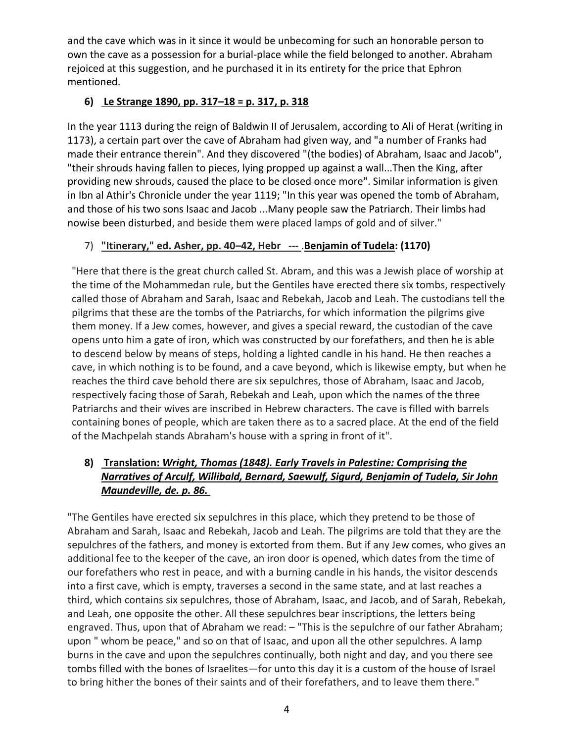and the cave which was in it since it would be unbecoming for such an honorable person to own the cave as a possession for a burial-place while the field belonged to another. Abraham rejoiced at this suggestion, and he purchased it in its entirety for the price that Ephron mentioned.

# **6) [Le Strange 1890,](https://en.wikipedia.org/wiki/Cave_of_the_Patriarchs#CITEREFLe_Strange1890) pp. 317–18 = [p. 317,](https://commons.wikimedia.org/wiki/File:Strange.317.jpg) [p. 318](https://commons.wikimedia.org/wiki/File:Strange.318.jpg)**

In the year 1113 during the reign of [Baldwin II of Jerusalem,](https://en.wikipedia.org/wiki/Baldwin_II_of_Jerusalem) according to [Ali of Herat](https://en.wikipedia.org/wiki/Ali_ibn_abi_bakr_al-Harawi) (writing in 1173), a certain part over the cave of Abraham had given way, and "a number of Franks had made their entrance therein". And they discovered "(the bodies) of Abraham, Isaac and Jacob", "their shrouds having fallen to pieces, lying propped up against a wall...Then the King, after providing new shrouds, caused the place to be closed once more". Similar information is given in [Ibn al Athir'](https://en.wikipedia.org/wiki/Ali_ibn_al-Athir)s Chronicle under the year 1119; "In this year was opened the tomb of Abraham, and those of his two sons Isaac and Jacob ...Many people saw the Patriarch. Their limbs had nowise been disturbed, and beside them were placed lamps of gold and of silver."

## 7) **"Itinerary," ed. Asher, pp. 40–42, Hebr ---** .**[Benjamin of Tudela:](https://en.wikipedia.org/wiki/Benjamin_of_Tudela) (1170)**

"Here that there is the great church called St. Abram, and this was a Jewish place of worship at the time of the Mohammedan rule, but the Gentiles have erected there six tombs, respectively called those of Abraham and Sarah, Isaac and Rebekah, Jacob and Leah. The custodians tell the pilgrims that these are the tombs of the Patriarchs, for which information the pilgrims give them money. If a Jew comes, however, and gives a special reward, the custodian of the cave opens unto him a gate of iron, which was constructed by our forefathers, and then he is able to descend below by means of steps, holding a lighted candle in his hand. He then reaches a cave, in which nothing is to be found, and a cave beyond, which is likewise empty, but when he reaches the third cave behold there are six sepulchres, those of Abraham, Isaac and Jacob, respectively facing those of Sarah, Rebekah and Leah, upon which the names of the three Patriarchs and their wives are inscribed in Hebrew characters. The cave is filled with barrels containing bones of people, which are taken there as to a sacred place. At the end of the field of the Machpelah stands Abraham's house with a spring in front of it".

# **8) Translation:** *Wright, Thomas (1848). [Early Travels in Palestine: Comprising the](https://archive.org/details/in.ernet.dli.2015.32890)  [Narratives of Arculf, Willibald, Bernard, Saewulf, Sigurd, Benjamin of Tudela, Sir John](https://archive.org/details/in.ernet.dli.2015.32890)  [Maundeville, de.](https://archive.org/details/in.ernet.dli.2015.32890) p. [86.](https://archive.org/details/in.ernet.dli.2015.32890/page/n124)*

"The Gentiles have erected six sepulchres in this place, which they pretend to be those of Abraham and Sarah, Isaac and Rebekah, Jacob and Leah. The pilgrims are told that they are the sepulchres of the fathers, and money is extorted from them. But if any Jew comes, who gives an additional fee to the keeper of the cave, an iron door is opened, which dates from the time of our forefathers who rest in peace, and with a burning candle in his hands, the visitor descends into a first cave, which is empty, traverses a second in the same state, and at last reaches a third, which contains six sepulchres, those of Abraham, Isaac, and Jacob, and of Sarah, Rebekah, and Leah, one opposite the other. All these sepulchres bear inscriptions, the letters being engraved. Thus, upon that of Abraham we read: - "This is the sepulchre of our father Abraham; upon " whom be peace," and so on that of Isaac, and upon all the other sepulchres. A lamp burns in the cave and upon the sepulchres continually, both night and day, and you there see tombs filled with the bones of Israelites—for unto this day it is a custom of the house of Israel to bring hither the bones of their saints and of their forefathers, and to leave them there."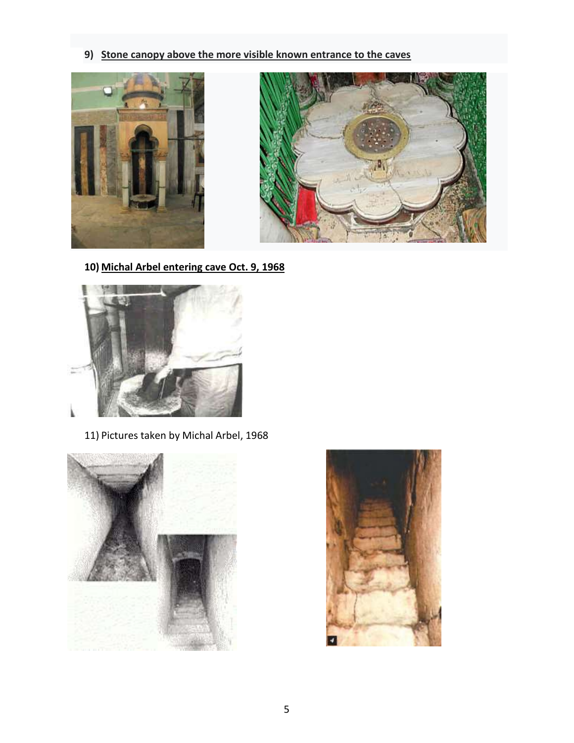**9) Stone canopy above the more visible known entrance to the caves**





**10) Michal Arbel entering cave Oct. 9, 1968**



11) Pictures taken by Michal Arbel, 1968



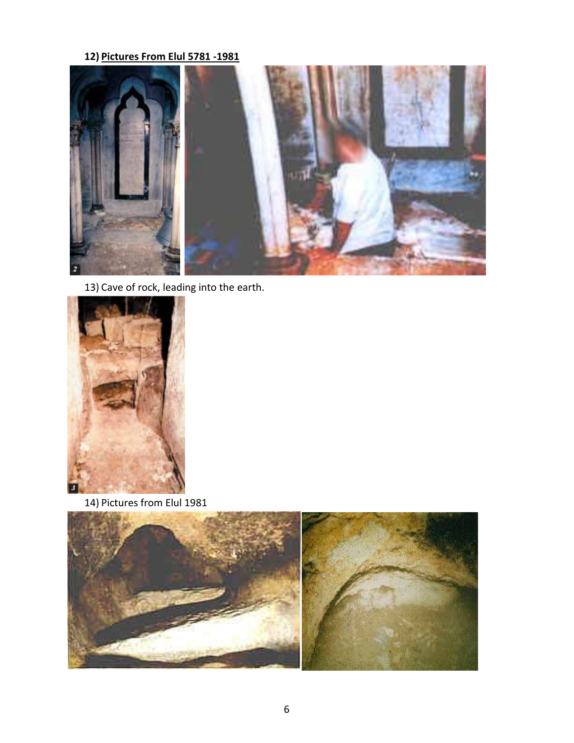### **12) Pictures From Elul 5781 -1981**



13) Cave of rock, leading into the earth.



14) Pictures from Elul 1981